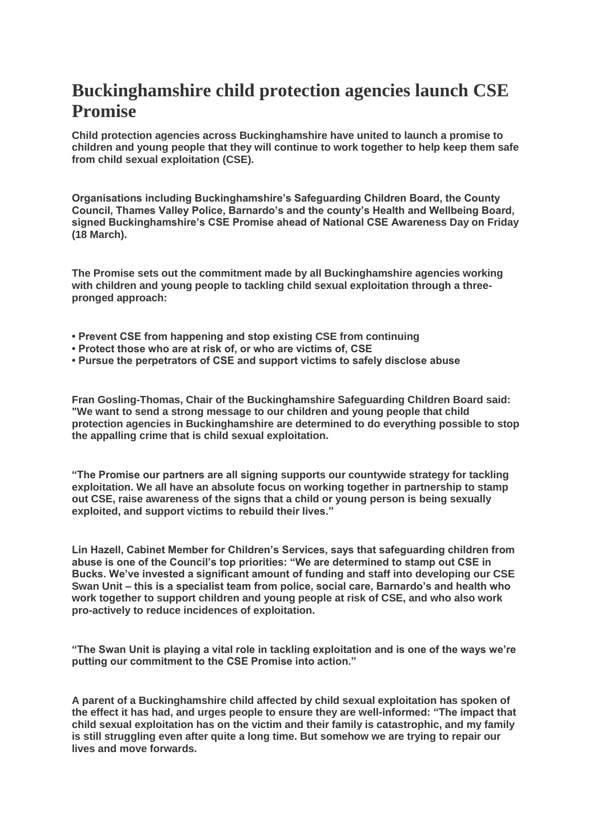## **Buckinghamshire child protection agencies launch CSE Promise**

**Child protection agencies across Buckinghamshire have united to launch a promise to children and young people that they will continue to work together to help keep them safe from child sexual exploitation (CSE).**

**Organisations including Buckinghamshire's Safeguarding Children Board, the County Council, Thames Valley Police, Barnardo's and the county's Health and Wellbeing Board, signed Buckinghamshire's CSE Promise ahead of National CSE Awareness Day on Friday (18 March).**

**The Promise sets out the commitment made by all Buckinghamshire agencies working with children and young people to tackling child sexual exploitation through a threepronged approach:**

- **Prevent CSE from happening and stop existing CSE from continuing**
- **Protect those who are at risk of, or who are victims of, CSE**
- **Pursue the perpetrators of CSE and support victims to safely disclose abuse**

**Fran Gosling-Thomas, Chair of the Buckinghamshire Safeguarding Children Board said: "We want to send a strong message to our children and young people that child protection agencies in Buckinghamshire are determined to do everything possible to stop the appalling crime that is child sexual exploitation.**

**"The Promise our partners are all signing supports our countywide strategy for tackling exploitation. We all have an absolute focus on working together in partnership to stamp out CSE, raise awareness of the signs that a child or young person is being sexually exploited, and support victims to rebuild their lives."**

**Lin Hazell, Cabinet Member for Children's Services, says that safeguarding children from abuse is one of the Council's top priorities: "We are determined to stamp out CSE in Bucks. We've invested a significant amount of funding and staff into developing our CSE Swan Unit – this is a specialist team from police, social care, Barnardo's and health who work together to support children and young people at risk of CSE, and who also work pro-actively to reduce incidences of exploitation.**

**"The Swan Unit is playing a vital role in tackling exploitation and is one of the ways we're putting our commitment to the CSE Promise into action."**

**A parent of a Buckinghamshire child affected by child sexual exploitation has spoken of the effect it has had, and urges people to ensure they are well-informed: "The impact that child sexual exploitation has on the victim and their family is catastrophic, and my family is still struggling even after quite a long time. But somehow we are trying to repair our lives and move forwards.**